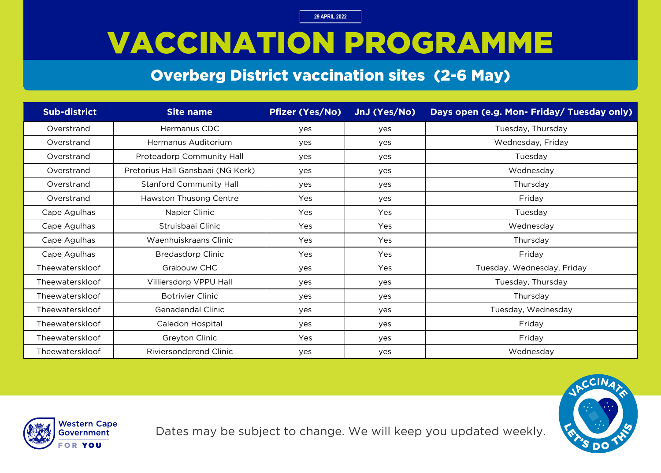# VACCINATION PROGRAMME

#### Overberg District vaccination sites (2-6 May)

| <b>Sub-district</b> | <b>Site name</b>                  | <b>Pfizer (Yes/No)</b> | JnJ (Yes/No) | Days open (e.g. Mon- Friday/ Tuesday only) |
|---------------------|-----------------------------------|------------------------|--------------|--------------------------------------------|
| Overstrand          | Hermanus CDC                      | yes                    | yes          | Tuesday, Thursday                          |
| Overstrand          | Hermanus Auditorium               | yes                    | yes          | Wednesday, Friday                          |
| Overstrand          | <b>Proteadorp Community Hall</b>  | yes                    | yes          | Tuesday                                    |
| Overstrand          | Pretorius Hall Gansbaai (NG Kerk) | yes                    | yes          | Wednesday                                  |
| Overstrand          | <b>Stanford Community Hall</b>    | yes                    | yes          | Thursday                                   |
| Overstrand          | Hawston Thusong Centre            | Yes                    | yes          | Friday                                     |
| Cape Agulhas        | Napier Clinic                     | Yes                    | Yes          | Tuesday                                    |
| Cape Agulhas        | Struisbaai Clinic                 | Yes                    | Yes          | Wednesday                                  |
| Cape Agulhas        | Waenhuiskraans Clinic             | Yes                    | Yes          | Thursday                                   |
| Cape Agulhas        | <b>Bredasdorp Clinic</b>          | Yes                    | Yes          | Friday                                     |
| Theewaterskloof     | Grabouw CHC                       | yes                    | Yes          | Tuesday, Wednesday, Friday                 |
| Theewaterskloof     | Villiersdorp VPPU Hall            | yes                    | yes          | Tuesday, Thursday                          |
| Theewaterskloof     | <b>Botrivier Clinic</b>           | yes                    | yes          | Thursday                                   |
| Theewaterskloof     | Genadendal Clinic                 | yes                    | yes          | Tuesday, Wednesday                         |
| Theewaterskloof     | Caledon Hospital                  | yes                    | yes          | Friday                                     |
| Theewaterskloof     | Greyton Clinic                    | Yes                    | yes          | Friday                                     |
| Theewaterskloof     | Riviersonderend Clinic            | yes                    | yes          | Wednesday                                  |



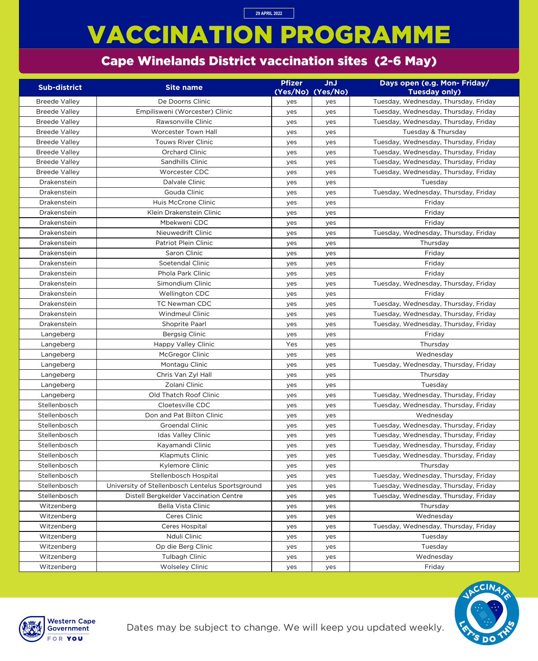# VACCINATION PROGRAMME

#### Cape Winelands District vaccination sites (2-6 May)

**29 APRIL 2022**

Dates may be subject to change. We will keep you updated weekly.



| <b>Sub-district</b>  | <b>Site name</b>                                 | <b>Pfizer</b> | <b>JnJ</b>        | Days open (e.g. Mon- Friday/         |
|----------------------|--------------------------------------------------|---------------|-------------------|--------------------------------------|
|                      |                                                  |               | (Yes/No) (Yes/No) | <b>Tuesday only)</b>                 |
| <b>Breede Valley</b> | De Doorns Clinic                                 | yes           | yes               | Tuesday, Wednesday, Thursday, Friday |
| <b>Breede Valley</b> | Empilisweni (Worcester) Clinic                   | yes           | yes               | Tuesday, Wednesday, Thursday, Friday |
| <b>Breede Valley</b> | Rawsonville Clinic                               | yes           | yes               | Tuesday, Wednesday, Thursday, Friday |
| <b>Breede Valley</b> | <b>Worcester Town Hall</b>                       | yes           | yes               | Tuesday & Thursday                   |
| <b>Breede Valley</b> | <b>Touws River Clinic</b>                        | yes           | yes               | Tuesday, Wednesday, Thursday, Friday |
| <b>Breede Valley</b> | Orchard Clinic                                   | yes           | yes               | Tuesday, Wednesday, Thursday, Friday |
| <b>Breede Valley</b> | Sandhills Clinic                                 | yes           | yes               | Tuesday, Wednesday, Thursday, Friday |
| <b>Breede Valley</b> | Worcester CDC                                    | yes           | yes               | Tuesday, Wednesday, Thursday, Friday |
| Drakenstein          | Dalvale Clinic                                   | yes           | yes               | Tuesday                              |
| Drakenstein          | Gouda Clinic                                     | yes           | yes               | Tuesday, Wednesday, Thursday, Friday |
| Drakenstein          | Huis McCrone Clinic                              | yes           | yes               | Friday                               |
| Drakenstein          | Klein Drakenstein Clinic                         | yes           | yes               | Friday                               |
| Drakenstein          | Mbekweni CDC                                     | yes           | yes               | Friday                               |
| Drakenstein          | Nieuwedrift Clinic                               | yes           | yes               | Tuesday, Wednesday, Thursday, Friday |
| Drakenstein          | Patriot Plein Clinic                             | yes           | yes               | Thursday                             |
| Drakenstein          | Saron Clinic                                     | yes           | yes               | Friday                               |
| Drakenstein          | Soetendal Clinic                                 | yes           | yes               | Friday                               |
| Drakenstein          | Phola Park Clinic                                | yes           | yes               | Friday                               |
| Drakenstein          | Simondium Clinic                                 | yes           | yes               | Tuesday, Wednesday, Thursday, Friday |
| Drakenstein          | Wellington CDC                                   | yes           | yes               | Friday                               |
| Drakenstein          | <b>TC Newman CDC</b>                             | yes           | yes               | Tuesday, Wednesday, Thursday, Friday |
| Drakenstein          | <b>Windmeul Clinic</b>                           | yes           | yes               | Tuesday, Wednesday, Thursday, Friday |
| Drakenstein          | Shoprite Paarl                                   | yes           | yes               | Tuesday, Wednesday, Thursday, Friday |
| Langeberg            | <b>Bergsig Clinic</b>                            | yes           | yes               | Friday                               |
| Langeberg            | <b>Happy Valley Clinic</b>                       | Yes           | yes               | Thursday                             |
| Langeberg            | McGregor Clinic                                  | yes           | yes               | Wednesday                            |
| Langeberg            | Montagu Clinic                                   | yes           | yes               | Tuesday, Wednesday, Thursday, Friday |
| Langeberg            | Chris Van Zyl Hall                               | yes           | yes               | Thursday                             |
| Langeberg            | Zolani Clinic                                    | yes           | yes               | Tuesday                              |
| Langeberg            | Old Thatch Roof Clinic                           | yes           | yes               | Tuesday, Wednesday, Thursday, Friday |
| Stellenbosch         | Cloetesville CDC                                 | yes           | yes               | Tuesday, Wednesday, Thursday, Friday |
| Stellenbosch         | Don and Pat Bilton Clinic                        | yes           | yes               | Wednesday                            |
| Stellenbosch         | <b>Groendal Clinic</b>                           | yes           | yes               | Tuesday, Wednesday, Thursday, Friday |
| Stellenbosch         | <b>Idas Valley Clinic</b>                        | yes           | yes               | Tuesday, Wednesday, Thursday, Friday |
| Stellenbosch         | Kayamandi Clinic                                 | yes           | yes               | Tuesday, Wednesday, Thursday, Friday |
| Stellenbosch         | Klapmuts Clinic                                  | yes           | yes               | Tuesday, Wednesday, Thursday, Friday |
| Stellenbosch         | Kylemore Clinic                                  | yes           | yes               | Thursday                             |
| Stellenbosch         | Stellenbosch Hospital                            | yes           | yes               | Tuesday, Wednesday, Thursday, Friday |
| Stellenbosch         | University of Stellenbosch Lentelus Sportsground | yes           | yes               | Tuesday, Wednesday, Thursday, Friday |
| Stellenbosch         | Distell Bergkelder Vaccination Centre            | yes           | yes               | Tuesday, Wednesday, Thursday, Friday |
| Witzenberg           | Bella Vista Clinic                               | yes           | yes               | Thursday                             |
| Witzenberg           | Ceres Clinic                                     | yes           | yes               | Wednesday                            |
| Witzenberg           | Ceres Hospital                                   | yes           | yes               | Tuesday, Wednesday, Thursday, Friday |
| Witzenberg           | Nduli Clinic                                     | yes           | yes               | Tuesday                              |
| Witzenberg           | Op die Berg Clinic                               | yes           | yes               | Tuesday                              |
| Witzenberg           | Tulbagh Clinic                                   | yes           | yes               | Wednesday                            |
| Witzenberg           | <b>Wolseley Clinic</b>                           | yes           | yes               | Friday                               |

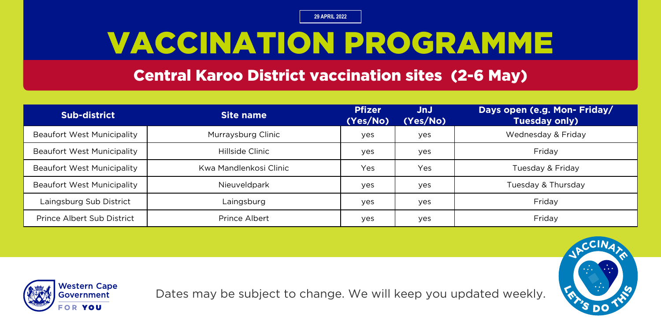# VACCINATION PROGRAMME

#### Central Karoo District vaccination sites (2-6 May)

| Sub-district                      | Site name              | <b>Pfizer</b><br>(Yes/No) | JnJ<br>(Yes/No) | Days open (e.g. Mon- Friday/<br>Tuesday only) |
|-----------------------------------|------------------------|---------------------------|-----------------|-----------------------------------------------|
| <b>Beaufort West Municipality</b> | Murraysburg Clinic     | yes                       | yes             | Wednesday & Friday                            |
| <b>Beaufort West Municipality</b> | Hillside Clinic        | yes                       | yes             | Friday                                        |
| <b>Beaufort West Municipality</b> | Kwa Mandlenkosi Clinic | Yes                       | Yes             | Tuesday & Friday                              |
| <b>Beaufort West Municipality</b> | Nieuveldpark           | yes                       | yes             | Tuesday & Thursday                            |
| Laingsburg Sub District           | Laingsburg             | yes                       | yes             | Friday                                        |
| <b>Prince Albert Sub District</b> | Prince Albert          | yes                       | yes             | Friday                                        |



Dates may be subject to change. We will keep you updated weekly.

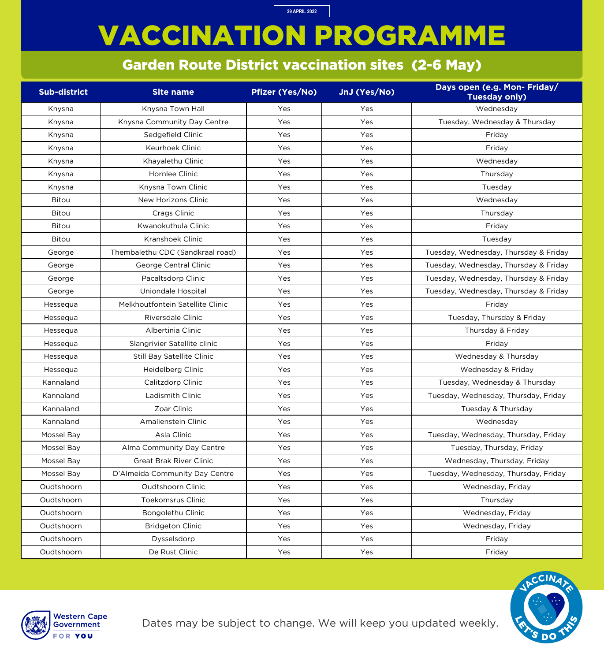# VACCINATION PROGRAMME

**29 APRIL 2022**

#### Garden Route District vaccination sites (2-6 May)

| <b>Sub-district</b> | <b>Site name</b>                  | <b>Pfizer (Yes/No)</b> | JnJ (Yes/No) | Days open (e.g. Mon- Friday/<br><b>Tuesday only)</b> |
|---------------------|-----------------------------------|------------------------|--------------|------------------------------------------------------|
| Knysna              | Knysna Town Hall                  | Yes                    | Yes          | Wednesday                                            |
| Knysna              | Knysna Community Day Centre       | Yes                    | Yes          | Tuesday, Wednesday & Thursday                        |
| Knysna              | Sedgefield Clinic                 | Yes                    | Yes          | Friday                                               |
| Knysna              | <b>Keurhoek Clinic</b>            | Yes                    | Yes          | Friday                                               |
| Knysna              | Khayalethu Clinic                 | Yes                    | Yes          | Wednesday                                            |
| Knysna              | Hornlee Clinic                    | Yes                    | Yes          | Thursday                                             |
| Knysna              | Knysna Town Clinic                | Yes                    | Yes          | Tuesday                                              |
| <b>Bitou</b>        | New Horizons Clinic               | Yes                    | Yes          | Wednesday                                            |
| <b>Bitou</b>        | Crags Clinic                      | Yes                    | Yes          | Thursday                                             |
| <b>Bitou</b>        | Kwanokuthula Clinic               | Yes                    | Yes          | Friday                                               |
| <b>Bitou</b>        | Kranshoek Clinic                  | Yes                    | Yes          | Tuesday                                              |
| George              | Thembalethu CDC (Sandkraal road)  | Yes                    | Yes          | Tuesday, Wednesday, Thursday & Friday                |
| George              | George Central Clinic             | Yes                    | Yes          | Tuesday, Wednesday, Thursday & Friday                |
| George              | Pacaltsdorp Clinic                | Yes                    | Yes          | Tuesday, Wednesday, Thursday & Friday                |
| George              | Uniondale Hospital                | Yes                    | Yes          | Tuesday, Wednesday, Thursday & Friday                |
| Hessequa            | Melkhoutfontein Satellite Clinic  | Yes                    | Yes          | Friday                                               |
| Hessequa            | Riversdale Clinic                 | Yes                    | Yes          | Tuesday, Thursday & Friday                           |
| Hessequa            | Albertinia Clinic                 | Yes                    | Yes          | Thursday & Friday                                    |
| Hessequa            | Slangrivier Satellite clinic      | Yes                    | Yes          | Friday                                               |
| Hessequa            | <b>Still Bay Satellite Clinic</b> | Yes                    | Yes          | Wednesday & Thursday                                 |
| Hessequa            | Heidelberg Clinic                 | Yes                    | Yes          | Wednesday & Friday                                   |
| Kannaland           | Calitzdorp Clinic                 | Yes                    | Yes          | Tuesday, Wednesday & Thursday                        |
| Kannaland           | Ladismith Clinic                  | Yes                    | Yes          | Tuesday, Wednesday, Thursday, Friday                 |
| Kannaland           | Zoar Clinic                       | Yes                    | Yes          | Tuesday & Thursday                                   |
| Kannaland           | Amalienstein Clinic               | Yes                    | Yes          | Wednesday                                            |
| Mossel Bay          | Asla Clinic                       | Yes                    | Yes          | Tuesday, Wednesday, Thursday, Friday                 |
| Mossel Bay          | Alma Community Day Centre         | Yes                    | Yes          | Tuesday, Thursday, Friday                            |
| Mossel Bay          | <b>Great Brak River Clinic</b>    | Yes                    | Yes          | Wednesday, Thursday, Friday                          |
| Mossel Bay          | D'Almeida Community Day Centre    | Yes                    | Yes          | Tuesday, Wednesday, Thursday, Friday                 |
| Oudtshoorn          | Oudtshoorn Clinic                 | Yes                    | Yes          | Wednesday, Friday                                    |
| Oudtshoorn          | <b>Toekomsrus Clinic</b>          | Yes                    | Yes          | Thursday                                             |
| Oudtshoorn          | Bongolethu Clinic                 | Yes                    | Yes          | Wednesday, Friday                                    |
| Oudtshoorn          | <b>Bridgeton Clinic</b>           | Yes                    | Yes          | Wednesday, Friday                                    |
| Oudtshoorn          | Dysselsdorp                       | Yes                    | Yes          | Friday                                               |
| Oudtshoorn          | De Rust Clinic                    | Yes                    | Yes          | Friday                                               |



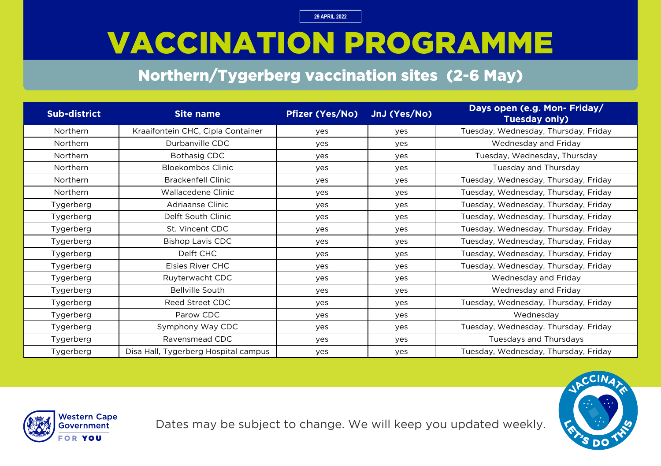# VACCINATION PROGRAMME

#### Northern/Tygerberg vaccination sites (2-6 May)

| Sub-district | <b>Site name</b>                     | <b>Pfizer (Yes/No)</b> | JnJ (Yes/No) | Days open (e.g. Mon- Friday/<br><b>Tuesday only)</b> |
|--------------|--------------------------------------|------------------------|--------------|------------------------------------------------------|
| Northern     | Kraaifontein CHC, Cipla Container    | yes                    | yes          | Tuesday, Wednesday, Thursday, Friday                 |
| Northern     | Durbanville CDC                      | yes                    | yes          | Wednesday and Friday                                 |
| Northern     | <b>Bothasig CDC</b>                  | yes                    | yes          | Tuesday, Wednesday, Thursday                         |
| Northern     | <b>Bloekombos Clinic</b>             | yes                    | yes          | Tuesday and Thursday                                 |
| Northern     | <b>Brackenfell Clinic</b>            | yes                    | yes          | Tuesday, Wednesday, Thursday, Friday                 |
| Northern     | Wallacedene Clinic                   | yes                    | yes          | Tuesday, Wednesday, Thursday, Friday                 |
| Tygerberg    | Adriaanse Clinic                     | yes                    | yes          | Tuesday, Wednesday, Thursday, Friday                 |
| Tygerberg    | Delft South Clinic                   | yes                    | yes          | Tuesday, Wednesday, Thursday, Friday                 |
| Tygerberg    | St. Vincent CDC                      | yes                    | yes          | Tuesday, Wednesday, Thursday, Friday                 |
| Tygerberg    | <b>Bishop Lavis CDC</b>              | yes                    | yes          | Tuesday, Wednesday, Thursday, Friday                 |
| Tygerberg    | Delft CHC                            | yes                    | yes          | Tuesday, Wednesday, Thursday, Friday                 |
| Tygerberg    | Elsies River CHC                     | yes                    | yes          | Tuesday, Wednesday, Thursday, Friday                 |
| Tygerberg    | Ruyterwacht CDC                      | yes                    | yes          | Wednesday and Friday                                 |
| Tygerberg    | <b>Bellville South</b>               | yes                    | yes          | Wednesday and Friday                                 |
| Tygerberg    | Reed Street CDC                      | yes                    | yes          | Tuesday, Wednesday, Thursday, Friday                 |
| Tygerberg    | Parow CDC                            | yes                    | yes          | Wednesday                                            |
| Tygerberg    | Symphony Way CDC                     | yes                    | yes          | Tuesday, Wednesday, Thursday, Friday                 |
| Tygerberg    | Ravensmead CDC                       | yes                    | yes          | Tuesdays and Thursdays                               |
| Tygerberg    | Disa Hall, Tygerberg Hospital campus | yes                    | yes          | Tuesday, Wednesday, Thursday, Friday                 |



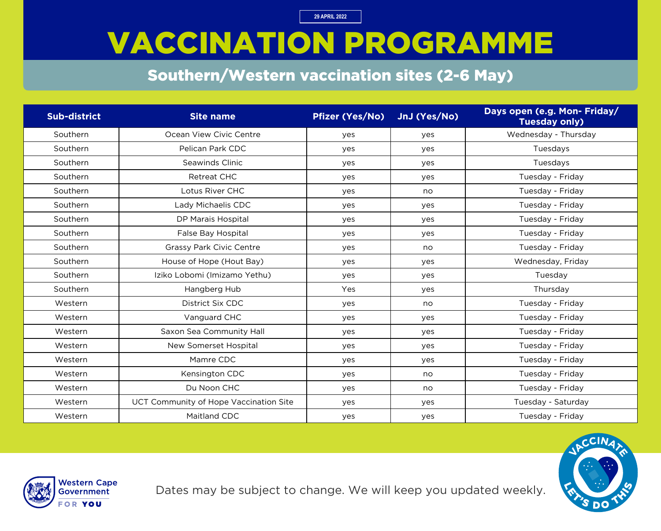### VACCINATION PROGRAMME

#### Southern/Western vaccination sites (2-6 May)

| <b>Sub-district</b> | <b>Site name</b>                       | <b>Pfizer (Yes/No)</b> | JnJ (Yes/No) | Days open (e.g. Mon- Friday/<br><b>Tuesday only)</b> |
|---------------------|----------------------------------------|------------------------|--------------|------------------------------------------------------|
| Southern            | Ocean View Civic Centre                | yes                    | yes          | Wednesday - Thursday                                 |
| Southern            | Pelican Park CDC                       | yes                    | yes          | Tuesdays                                             |
| Southern            | Seawinds Clinic                        | yes                    | yes          | Tuesdays                                             |
| Southern            | <b>Retreat CHC</b>                     | yes                    | yes          | Tuesday - Friday                                     |
| Southern            | Lotus River CHC                        | yes                    | no           | Tuesday - Friday                                     |
| Southern            | Lady Michaelis CDC                     | yes                    | yes          | Tuesday - Friday                                     |
| Southern            | DP Marais Hospital                     | yes                    | yes          | Tuesday - Friday                                     |
| Southern            | <b>False Bay Hospital</b>              | yes                    | yes          | Tuesday - Friday                                     |
| Southern            | <b>Grassy Park Civic Centre</b>        | yes                    | no           | Tuesday - Friday                                     |
| Southern            | House of Hope (Hout Bay)               | yes                    | yes          | Wednesday, Friday                                    |
| Southern            | Iziko Lobomi (Imizamo Yethu)           | yes                    | yes          | Tuesday                                              |
| Southern            | Hangberg Hub                           | Yes                    | yes          | Thursday                                             |
| Western             | District Six CDC                       | yes                    | no           | Tuesday - Friday                                     |
| Western             | Vanguard CHC                           | yes                    | yes          | Tuesday - Friday                                     |
| Western             | Saxon Sea Community Hall               | yes                    | yes          | Tuesday - Friday                                     |
| Western             | New Somerset Hospital                  | yes                    | yes          | Tuesday - Friday                                     |
| Western             | Mamre CDC                              | yes                    | yes          | Tuesday - Friday                                     |
| Western             | Kensington CDC                         | yes                    | no           | Tuesday - Friday                                     |
| Western             | Du Noon CHC                            | yes                    | no           | Tuesday - Friday                                     |
| Western             | UCT Community of Hope Vaccination Site | yes                    | yes          | Tuesday - Saturday                                   |
| Western             | Maitland CDC                           | yes                    | yes          | Tuesday - Friday                                     |



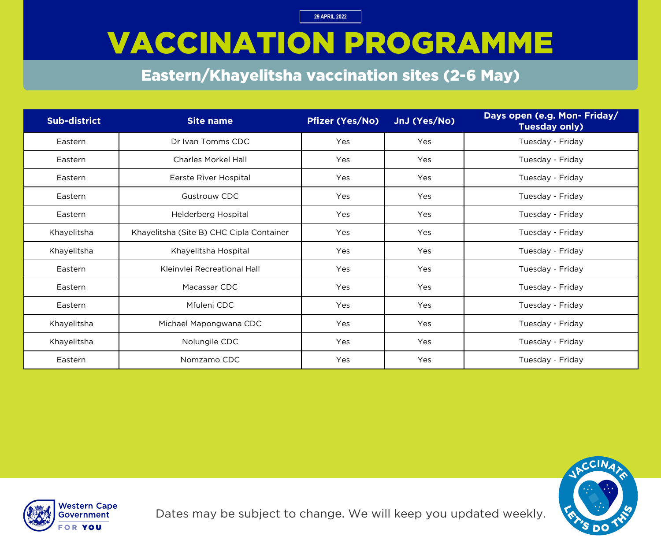# VACCINATION PROGRAMME

#### Eastern/Khayelitsha vaccination sites (2-6 May)

| Sub-district | <b>Site name</b>                         | <b>Pfizer (Yes/No)</b> | JnJ (Yes/No) | Days open (e.g. Mon- Friday/<br><b>Tuesday only)</b> |
|--------------|------------------------------------------|------------------------|--------------|------------------------------------------------------|
| Eastern      | Dr Ivan Tomms CDC                        | Yes                    | Yes          | Tuesday - Friday                                     |
| Eastern      | <b>Charles Morkel Hall</b>               | Yes                    | Yes          | Tuesday - Friday                                     |
| Eastern      | Eerste River Hospital                    | Yes                    | Yes          | Tuesday - Friday                                     |
| Eastern      | <b>Gustrouw CDC</b>                      | Yes                    | Yes          | Tuesday - Friday                                     |
| Eastern      | Helderberg Hospital                      | Yes                    | Yes          | Tuesday - Friday                                     |
| Khayelitsha  | Khayelitsha (Site B) CHC Cipla Container | Yes                    | Yes          | Tuesday - Friday                                     |
| Khayelitsha  | Khayelitsha Hospital                     | Yes                    | Yes          | Tuesday - Friday                                     |
| Eastern      | Kleinvlei Recreational Hall              | Yes                    | Yes          | Tuesday - Friday                                     |
| Eastern      | Macassar CDC                             | Yes                    | Yes          | Tuesday - Friday                                     |
| Eastern      | Mfuleni CDC                              | Yes                    | Yes          | Tuesday - Friday                                     |
| Khayelitsha  | Michael Mapongwana CDC                   | Yes                    | Yes          | Tuesday - Friday                                     |
| Khayelitsha  | Nolungile CDC                            | Yes                    | Yes          | Tuesday - Friday                                     |
| Eastern      | Nomzamo CDC                              | Yes                    | Yes          | Tuesday - Friday                                     |



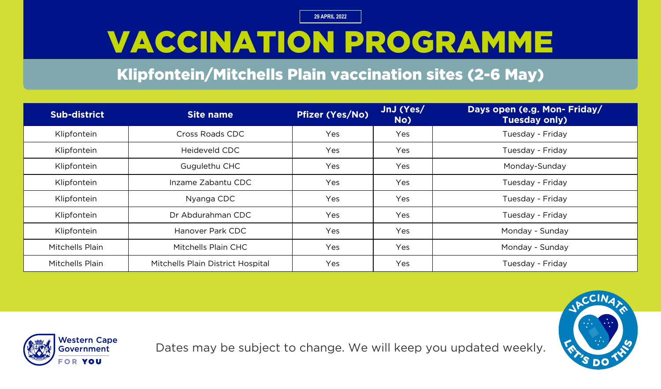# VACCINATION PROGRAMME

#### Klipfontein/Mitchells Plain vaccination sites (2-6 May)

| Sub-district    | Site name                         | <b>Pfizer (Yes/No)</b> | JnJ (Yes/<br>No) | Days open (e.g. Mon- Friday/<br><b>Tuesday only)</b> |
|-----------------|-----------------------------------|------------------------|------------------|------------------------------------------------------|
| Klipfontein     | Cross Roads CDC                   | Yes                    | Yes              | Tuesday - Friday                                     |
| Klipfontein     | Heideveld CDC                     | Yes                    | Yes              | Tuesday - Friday                                     |
| Klipfontein     | Gugulethu CHC                     | Yes                    | Yes              | Monday-Sunday                                        |
| Klipfontein     | Inzame Zabantu CDC                | Yes                    | Yes              | Tuesday - Friday                                     |
| Klipfontein     | Nyanga CDC                        | Yes                    | Yes              | Tuesday - Friday                                     |
| Klipfontein     | Dr Abdurahman CDC                 | Yes                    | Yes              | Tuesday - Friday                                     |
| Klipfontein     | Hanover Park CDC                  | Yes                    | Yes              | Monday - Sunday                                      |
| Mitchells Plain | Mitchells Plain CHC               | Yes                    | Yes              | Monday - Sunday                                      |
| Mitchells Plain | Mitchells Plain District Hospital | Yes                    | Yes              | Tuesday - Friday                                     |





Dates may be subject to change. We will keep you updated weekly.